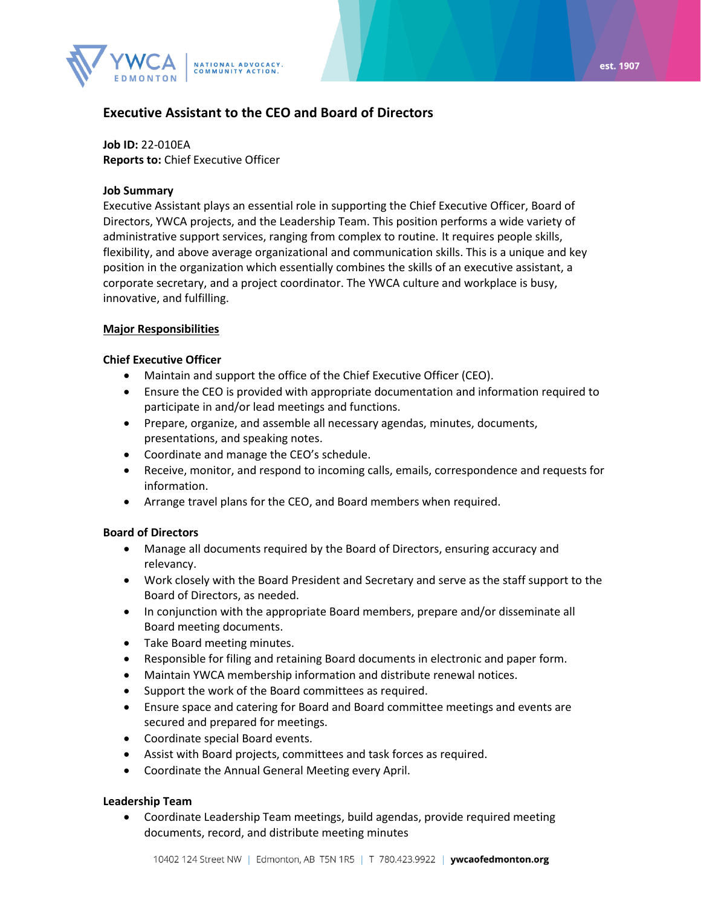

# **Executive Assistant to the CEO and Board of Directors**

**Job ID:** 22-010EA **Reports to:** Chief Executive Officer

#### **Job Summary**

Executive Assistant plays an essential role in supporting the Chief Executive Officer, Board of Directors, YWCA projects, and the Leadership Team. This position performs a wide variety of administrative support services, ranging from complex to routine. It requires people skills, flexibility, and above average organizational and communication skills. This is a unique and key position in the organization which essentially combines the skills of an executive assistant, a corporate secretary, and a project coordinator. The YWCA culture and workplace is busy, innovative, and fulfilling.

#### **Major Responsibilities**

#### **Chief Executive Officer**

- Maintain and support the office of the Chief Executive Officer (CEO).
- Ensure the CEO is provided with appropriate documentation and information required to participate in and/or lead meetings and functions.
- Prepare, organize, and assemble all necessary agendas, minutes, documents, presentations, and speaking notes.
- Coordinate and manage the CEO's schedule.
- Receive, monitor, and respond to incoming calls, emails, correspondence and requests for information.
- Arrange travel plans for the CEO, and Board members when required.

## **Board of Directors**

- Manage all documents required by the Board of Directors, ensuring accuracy and relevancy.
- Work closely with the Board President and Secretary and serve as the staff support to the Board of Directors, as needed.
- In conjunction with the appropriate Board members, prepare and/or disseminate all Board meeting documents.
- Take Board meeting minutes.
- Responsible for filing and retaining Board documents in electronic and paper form.
- Maintain YWCA membership information and distribute renewal notices.
- Support the work of the Board committees as required.
- Ensure space and catering for Board and Board committee meetings and events are secured and prepared for meetings.
- Coordinate special Board events.
- Assist with Board projects, committees and task forces as required.
- Coordinate the Annual General Meeting every April.

## **Leadership Team**

• Coordinate Leadership Team meetings, build agendas, provide required meeting documents, record, and distribute meeting minutes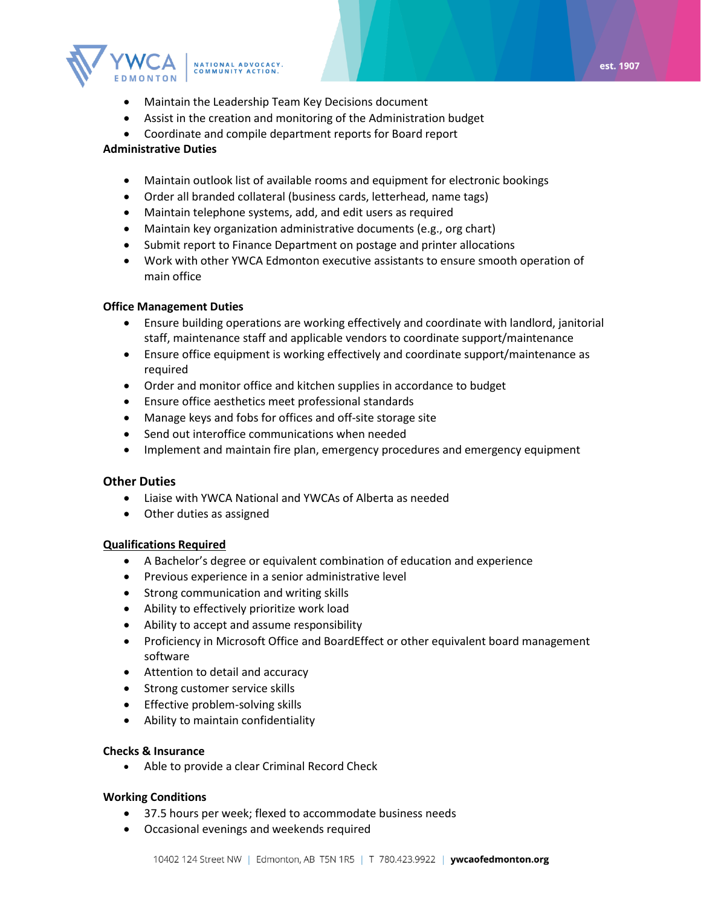

- Maintain the Leadership Team Key Decisions document
- Assist in the creation and monitoring of the Administration budget
- Coordinate and compile department reports for Board report

## **Administrative Duties**

- Maintain outlook list of available rooms and equipment for electronic bookings
- Order all branded collateral (business cards, letterhead, name tags)
- Maintain telephone systems, add, and edit users as required
- Maintain key organization administrative documents (e.g., org chart)
- Submit report to Finance Department on postage and printer allocations
- Work with other YWCA Edmonton executive assistants to ensure smooth operation of main office

## **Office Management Duties**

- Ensure building operations are working effectively and coordinate with landlord, janitorial staff, maintenance staff and applicable vendors to coordinate support/maintenance
- Ensure office equipment is working effectively and coordinate support/maintenance as required
- Order and monitor office and kitchen supplies in accordance to budget
- Ensure office aesthetics meet professional standards
- Manage keys and fobs for offices and off-site storage site
- Send out interoffice communications when needed
- Implement and maintain fire plan, emergency procedures and emergency equipment

## **Other Duties**

- Liaise with YWCA National and YWCAs of Alberta as needed
- Other duties as assigned

## **Qualifications Required**

- A Bachelor's degree or equivalent combination of education and experience
- Previous experience in a senior administrative level
- Strong communication and writing skills
- Ability to effectively prioritize work load
- Ability to accept and assume responsibility
- Proficiency in Microsoft Office and BoardEffect or other equivalent board management software
- Attention to detail and accuracy
- Strong customer service skills
- Effective problem-solving skills
- Ability to maintain confidentiality

## **Checks & Insurance**

• Able to provide a clear Criminal Record Check

## **Working Conditions**

- 37.5 hours per week; flexed to accommodate business needs
- Occasional evenings and weekends required